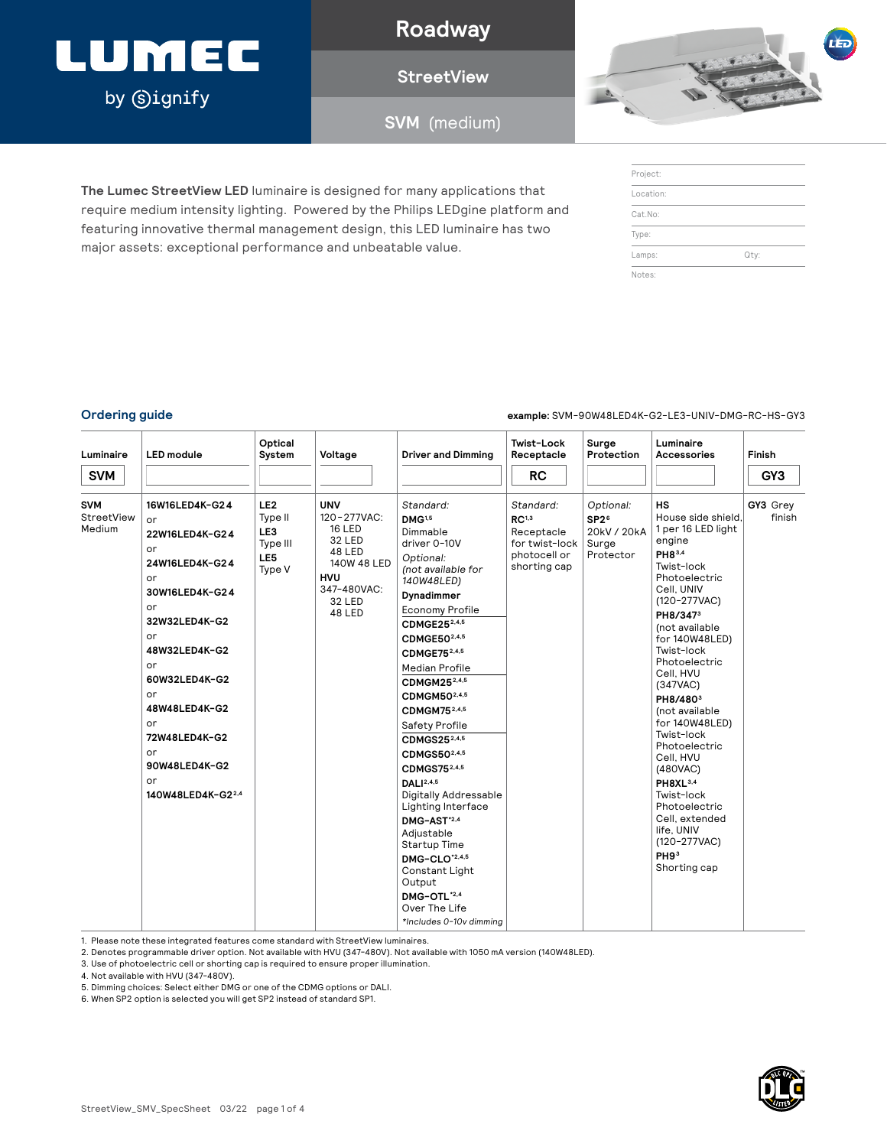## LUMEC by **Signify**

**Roadway**

**StreetView**

**SVM** (medium)



| Project:  |      |
|-----------|------|
| Location: |      |
| Cat.No:   |      |
| Type:     |      |
| Lamps:    | Qty: |
| Notes:    |      |

**The Lumec StreetView LED** luminaire is designed for many applications that require medium intensity lighting. Powered by the Philips LEDgine platform and featuring innovative thermal management design, this LED luminaire has two major assets: exceptional performance and unbeatable value.

**Ordering guide example:** SVM-90W48LED4K-G2-LE3-UNIV-DMG-RC-HS-GY3

| Luminaire                                 | <b>LED</b> module                                                                                                                                                                                                                                                       | Optical<br>System                                              | Voltage                                                                                                                        | <b>Driver and Dimming</b>                                                                                                                                                                                                                                                                                                                                                                                                                                                                                                                                                                                                         | Twist-Lock<br>Receptacle                                                                       | Surge<br>Protection                                                | Luminaire<br><b>Accessories</b>                                                                                                                                                                                                                                                                                                                                                                                                                                                                                                      | Finish             |
|-------------------------------------------|-------------------------------------------------------------------------------------------------------------------------------------------------------------------------------------------------------------------------------------------------------------------------|----------------------------------------------------------------|--------------------------------------------------------------------------------------------------------------------------------|-----------------------------------------------------------------------------------------------------------------------------------------------------------------------------------------------------------------------------------------------------------------------------------------------------------------------------------------------------------------------------------------------------------------------------------------------------------------------------------------------------------------------------------------------------------------------------------------------------------------------------------|------------------------------------------------------------------------------------------------|--------------------------------------------------------------------|--------------------------------------------------------------------------------------------------------------------------------------------------------------------------------------------------------------------------------------------------------------------------------------------------------------------------------------------------------------------------------------------------------------------------------------------------------------------------------------------------------------------------------------|--------------------|
| <b>SVM</b>                                |                                                                                                                                                                                                                                                                         |                                                                |                                                                                                                                |                                                                                                                                                                                                                                                                                                                                                                                                                                                                                                                                                                                                                                   | <b>RC</b>                                                                                      |                                                                    |                                                                                                                                                                                                                                                                                                                                                                                                                                                                                                                                      | GY <sub>3</sub>    |
| <b>SVM</b><br><b>StreetView</b><br>Medium | 16W16LED4K-G24<br>or<br>22W16LED4K-G24<br>or<br>24W16LED4K-G24<br>or<br>30W16LED4K-G24<br>or<br>32W32LED4K-G2<br>or<br>48W32LED4K-G2<br>or<br>60W32LED4K-G2<br>or<br>48W48LED4K-G2<br>or<br>72W48LED4K-G2<br>or<br>90W48LED4K-G2<br>or<br>140W48LED4K-G2 <sup>2,4</sup> | LE <sub>2</sub><br>Type II<br>LE3<br>Type III<br>LE5<br>Type V | <b>UNV</b><br>120-277VAC:<br><b>16 LED</b><br>32 LED<br>48 LED<br>140W 48 LED<br><b>HVU</b><br>347-480VAC:<br>32 LED<br>48 LED | Standard:<br>DMG <sup>1,5</sup><br>Dimmable<br>driver 0-10V<br>Optional:<br>(not available for<br>140W48LED)<br>Dynadimmer<br>Economy Profile<br>CDMGE252,4,5<br>CDMGE502,4,5<br>CDMGE75 <sup>2,4,5</sup><br><b>Median Profile</b><br>CDMGM252,4,5<br>CDMGM50 <sup>2,4,5</sup><br>CDMGM752,4,5<br>Safety Profile<br>CDMGS25 <sup>2,4,5</sup><br>CDMGS50 <sup>2,4,5</sup><br>CDMGS75 <sup>2,4,5</sup><br>DALI <sup>2,4,5</sup><br>Digitally Addressable<br>Lighting Interface<br>DMG-AST*2,4<br>Adjustable<br>Startup Time<br>DMG-CLO*2,4,5<br>Constant Light<br>Output<br>DMG-OTL*2,4<br>Over The Life<br>*Includes 0-10v dimming | Standard:<br>RC <sup>1,3</sup><br>Receptacle<br>for twist-lock<br>photocell or<br>shorting cap | Optional:<br>SP2 <sup>6</sup><br>20kV / 20kA<br>Surge<br>Protector | <b>HS</b><br>House side shield.<br>1 per 16 LED light<br>engine<br>PH83,4<br>Twist-lock<br>Photoelectric<br>Cell, UNIV<br>(120-277VAC)<br>PH8/347 <sup>3</sup><br>(not available<br>for 140W48LED)<br>Twist-lock<br>Photoelectric<br>Cell, HVU<br>(347 <b>VAC</b> )<br>PH8/480 <sup>3</sup><br>(not available<br>for 140W48LED)<br>Twist-lock<br>Photoelectric<br>Cell. HVU<br>(480VAC)<br>PH8XL <sup>3,4</sup><br>Twist-lock<br>Photoelectric<br>Cell, extended<br>life, UNIV<br>$(120-277VAC)$<br>PH9 <sup>3</sup><br>Shorting cap | GY3 Grey<br>finish |

1. Please note these integrated features come standard with StreetView luminaires.

2. Denotes programmable driver option. Not available with HVU (347-480V). Not available with 1050 mA version (140W48LED).

3. Use of photoelectric cell or shorting cap is required to ensure proper illumination.

4. Not available with HVU (347-480V).

5. Dimming choices: Select either DMG or one of the CDMG options or DALI.

6. When SP2 option is selected you will get SP2 instead of standard SP1.

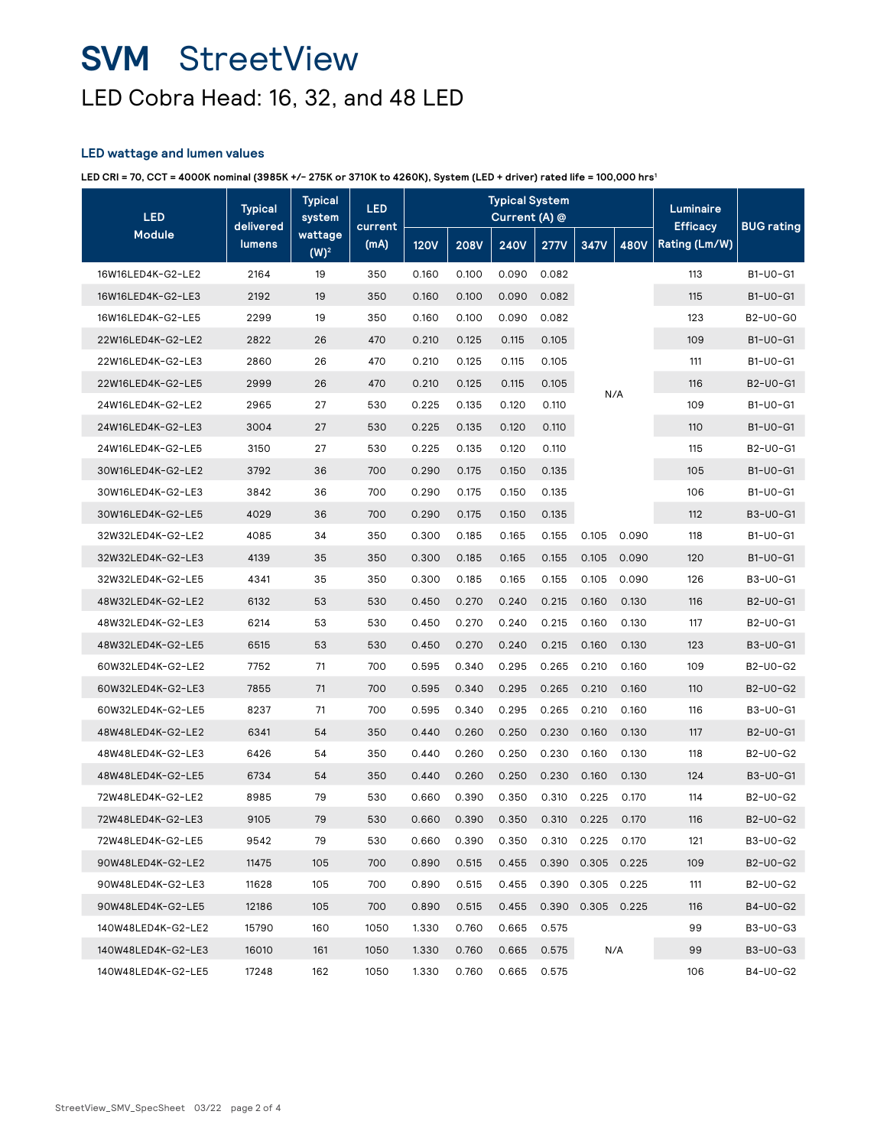### **SVM** StreetView LED Cobra Head: 16, 32, and 48 LED

### **LED wattage and lumen values**

**LED CRI = 70, CCT = 4000K nominal (3985K +/- 275K or 3710K to 4260K), System (LED + driver) rated life = 100,000 hrs1**

| <b>LED</b>         | <b>Typical</b><br>delivered | <b>Typical</b><br>system | <b>LED</b><br>current | <b>Typical System</b><br>Current (A) @ |             |             |             |                   | Luminaire<br><b>Efficacy</b> | <b>BUG</b> rating |          |
|--------------------|-----------------------------|--------------------------|-----------------------|----------------------------------------|-------------|-------------|-------------|-------------------|------------------------------|-------------------|----------|
| <b>Module</b>      | lumens                      | wattage<br>$(W)^2$       | (mA)                  | <b>120V</b>                            | <b>208V</b> | <b>240V</b> | <b>277V</b> | 347V              | <b>480V</b>                  | Rating (Lm/W)     |          |
| 16W16LED4K-G2-LE2  | 2164                        | 19                       | 350                   | 0.160                                  | 0.100       | 0.090       | 0.082       |                   |                              | 113               | B1-U0-G1 |
| 16W16LED4K-G2-LE3  | 2192                        | 19                       | 350                   | 0.160                                  | 0.100       | 0.090       | 0.082       |                   |                              | 115               | B1-U0-G1 |
| 16W16LED4K-G2-LE5  | 2299                        | 19                       | 350                   | 0.160                                  | 0.100       | 0.090       | 0.082       |                   |                              | 123               | B2-U0-G0 |
| 22W16LED4K-G2-LE2  | 2822                        | 26                       | 470                   | 0.210                                  | 0.125       | 0.115       | 0.105       |                   |                              | 109               | B1-U0-G1 |
| 22W16LED4K-G2-LE3  | 2860                        | 26                       | 470                   | 0.210                                  | 0.125       | 0.115       | 0.105       |                   |                              | 111               | B1-U0-G1 |
| 22W16LED4K-G2-LE5  | 2999                        | 26                       | 470                   | 0.210                                  | 0.125       | 0.115       | 0.105       |                   |                              | 116               | B2-U0-G1 |
| 24W16LED4K-G2-LE2  | 2965                        | 27                       | 530                   | 0.225                                  | 0.135       | 0.120       | 0.110       | N/A               |                              | 109               | B1-U0-G1 |
| 24W16LED4K-G2-LE3  | 3004                        | 27                       | 530                   | 0.225                                  | 0.135       | 0.120       | 0.110       |                   |                              | 110               | B1-U0-G1 |
| 24W16LED4K-G2-LE5  | 3150                        | 27                       | 530                   | 0.225                                  | 0.135       | 0.120       | 0.110       |                   |                              | 115               | B2-U0-G1 |
| 30W16LED4K-G2-LE2  | 3792                        | 36                       | 700                   | 0.290                                  | 0.175       | 0.150       | 0.135       |                   |                              | 105               | B1-U0-G1 |
| 30W16LED4K-G2-LE3  | 3842                        | 36                       | 700                   | 0.290                                  | 0.175       | 0.150       | 0.135       |                   |                              | 106               | B1-U0-G1 |
| 30W16LED4K-G2-LE5  | 4029                        | 36                       | 700                   | 0.290                                  | 0.175       | 0.150       | 0.135       |                   |                              | 112               | B3-U0-G1 |
| 32W32LED4K-G2-LE2  | 4085                        | 34                       | 350                   | 0.300                                  | 0.185       | 0.165       | 0.155       | 0.105             | 0.090                        | 118               | B1-U0-G1 |
| 32W32LED4K-G2-LE3  | 4139                        | 35                       | 350                   | 0.300                                  | 0.185       | 0.165       | 0.155       | 0.105             | 0.090                        | 120               | B1-U0-G1 |
| 32W32LED4K-G2-LE5  | 4341                        | 35                       | 350                   | 0.300                                  | 0.185       | 0.165       | 0.155       | 0.105             | 0.090                        | 126               | B3-U0-G1 |
| 48W32LED4K-G2-LE2  | 6132                        | 53                       | 530                   | 0.450                                  | 0.270       | 0.240       | 0.215       | 0.160             | 0.130                        | 116               | B2-U0-G1 |
| 48W32LED4K-G2-LE3  | 6214                        | 53                       | 530                   | 0.450                                  | 0.270       | 0.240       | 0.215       | 0.160             | 0.130                        | 117               | B2-U0-G1 |
| 48W32LED4K-G2-LE5  | 6515                        | 53                       | 530                   | 0.450                                  | 0.270       | 0.240       | 0.215       | 0.160             | 0.130                        | 123               | B3-U0-G1 |
| 60W32LED4K-G2-LE2  | 7752                        | 71                       | 700                   | 0.595                                  | 0.340       | 0.295       | 0.265       | 0.210             | 0.160                        | 109               | B2-U0-G2 |
| 60W32LED4K-G2-LE3  | 7855                        | 71                       | 700                   | 0.595                                  | 0.340       | 0.295       | 0.265       | 0.210             | 0.160                        | 110               | B2-U0-G2 |
| 60W32LED4K-G2-LE5  | 8237                        | 71                       | 700                   | 0.595                                  | 0.340       | 0.295       | 0.265       | 0.210             | 0.160                        | 116               | B3-U0-G1 |
| 48W48LED4K-G2-LE2  | 6341                        | 54                       | 350                   | 0.440                                  | 0.260       | 0.250       | 0.230       | 0.160             | 0.130                        | 117               | B2-U0-G1 |
| 48W48LED4K-G2-LE3  | 6426                        | 54                       | 350                   | 0.440                                  | 0.260       | 0.250       | 0.230       | 0.160             | 0.130                        | 118               | B2-U0-G2 |
| 48W48LED4K-G2-LE5  | 6734                        | 54                       | 350                   | 0.440                                  | 0.260       | 0.250       | 0.230       | 0.160             | 0.130                        | 124               | B3-U0-G1 |
| 72W48LED4K-G2-LE2  | 8985                        | 79                       | 530                   | 0.660                                  | 0.390       | 0.350       | 0.310       | 0.225             | 0.170                        | 114               | B2-U0-G2 |
| 72W48LED4K-G2-LE3  | 9105                        | 79                       | 530                   | 0.660                                  | 0.390       | 0.350       | 0.310       | 0.225             | 0.170                        | 116               | B2-U0-G2 |
| 72W48LED4K-G2-LE5  | 9542                        | 79                       | 530                   | 0.660                                  | 0.390       | 0.350       | 0.310       | 0.225             | 0.170                        | 121               | B3-U0-G2 |
| 90W48LED4K-G2-LE2  | 11475                       | 105                      | 700                   | 0.890                                  | 0.515       | 0.455       | 0.390       | 0.305             | 0.225                        | 109               | B2-U0-G2 |
| 90W48LED4K-G2-LE3  | 11628                       | 105                      | 700                   | 0.890                                  | 0.515       | 0.455       |             | 0.390 0.305 0.225 |                              | 111               | B2-U0-G2 |
| 90W48LED4K-G2-LE5  | 12186                       | 105                      | 700                   | 0.890                                  | 0.515       | 0.455       | 0.390       |                   | 0.305 0.225                  | 116               | B4-U0-G2 |
| 140W48LED4K-G2-LE2 | 15790                       | 160                      | 1050                  | 1.330                                  | 0.760       | 0.665       | 0.575       |                   |                              | 99                | B3-U0-G3 |
| 140W48LED4K-G2-LE3 | 16010                       | 161                      | 1050                  | 1.330                                  | 0.760       | 0.665       | 0.575       |                   | N/A                          | 99                | B3-U0-G3 |
| 140W48LED4K-G2-LE5 | 17248                       | 162                      | 1050                  | 1.330                                  | 0.760       | 0.665       | 0.575       |                   |                              | 106               | B4-U0-G2 |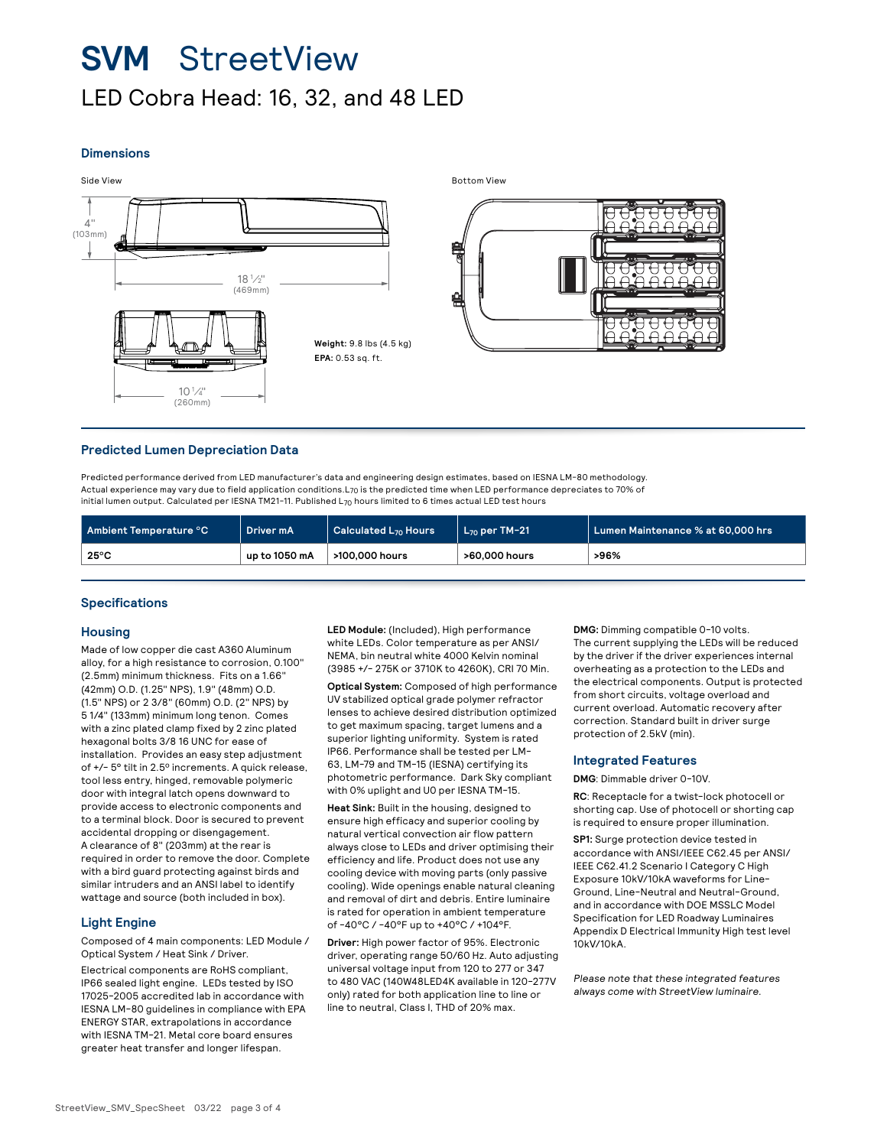### **SVM** StreetView LED Cobra Head: 16, 32, and 48 LED

#### **Dimensions**





#### **Predicted Lumen Depreciation Data**

Predicted performance derived from LED manufacturer's data and engineering design estimates, based on IESNA LM-80 methodology. Actual experience may vary due to field application conditions.L70 is the predicted time when LED performance depreciates to 70% of initial lumen output. Calculated per IESNA TM21-11. Published L70 hours limited to 6 times actual LED test hours

| Ambient Temperature °C | Driver mA     | $\vert$ Calculated L <sub>70</sub> Hours | $L_{70}$ per TM-21 | Lumen Maintenance % at 60,000 hrs |
|------------------------|---------------|------------------------------------------|--------------------|-----------------------------------|
| $25^{\circ}$ C         | up to 1050 mA | >100,000 hours                           | >60,000 hours      | >96%                              |

#### **Specifications**

#### **Housing**

Made of low copper die cast A360 Aluminum alloy, for a high resistance to corrosion, 0.100" (2.5mm) minimum thickness. Fits on a 1.66" (42mm) O.D. (1.25" NPS), 1.9" (48mm) O.D. (1.5" NPS) or 2 3/8" (60mm) O.D. (2" NPS) by 5 1/4" (133mm) minimum long tenon. Comes with a zinc plated clamp fixed by 2 zinc plated hexagonal bolts 3/8 16 UNC for ease of installation. Provides an easy step adjustment of +/- 5° tilt in 2.5º increments. A quick release, tool less entry, hinged, removable polymeric door with integral latch opens downward to provide access to electronic components and to a terminal block. Door is secured to prevent accidental dropping or disengagement. A clearance of 8" (203mm) at the rear is required in order to remove the door. Complete with a bird guard protecting against birds and similar intruders and an ANSI label to identify wattage and source (both included in box).

#### **Light Engine**

Composed of 4 main components: LED Module / Optical System / Heat Sink / Driver.

Electrical components are RoHS compliant, IP66 sealed light engine. LEDs tested by ISO 17025-2005 accredited lab in accordance with IESNA LM-80 guidelines in compliance with EPA ENERGY STAR, extrapolations in accordance with IESNA TM-21. Metal core board ensures greater heat transfer and longer lifespan.

**LED Module:** (Included), High performance white LEDs. Color temperature as per ANSI/ NEMA, bin neutral white 4000 Kelvin nominal (3985 +/- 275K or 3710K to 4260K), CRI 70 Min.

**Optical System:** Composed of high performance UV stabilized optical grade polymer refractor lenses to achieve desired distribution optimized to get maximum spacing, target lumens and a superior lighting uniformity. System is rated IP66. Performance shall be tested per LM-63, LM-79 and TM-15 (IESNA) certifying its photometric performance. Dark Sky compliant with 0% uplight and U0 per IESNA TM-15.

**Heat Sink:** Built in the housing, designed to ensure high efficacy and superior cooling by natural vertical convection air flow pattern always close to LEDs and driver optimising their efficiency and life. Product does not use any cooling device with moving parts (only passive cooling). Wide openings enable natural cleaning and removal of dirt and debris. Entire luminaire is rated for operation in ambient temperature of -40°C / -40°F up to +40°C / +104°F.

**Driver:** High power factor of 95%. Electronic driver, operating range 50/60 Hz. Auto adjusting universal voltage input from 120 to 277 or 347 to 480 VAC (140W48LED4K available in 120-277V only) rated for both application line to line or line to neutral, Class I, THD of 20% max.

**DMG:** Dimming compatible 0-10 volts. The current supplying the LEDs will be reduced by the driver if the driver experiences internal overheating as a protection to the LEDs and the electrical components. Output is protected from short circuits, voltage overload and current overload. Automatic recovery after correction. Standard built in driver surge protection of 2.5kV (min).

#### **Integrated Features**

**DMG**: Dimmable driver 0-10V.

**RC**: Receptacle for a twist-lock photocell or shorting cap. Use of photocell or shorting cap is required to ensure proper illumination.

**SP1:** Surge protection device tested in accordance with ANSI/IEEE C62.45 per ANSI/ IEEE C62.41.2 Scenario I Category C High Exposure 10kV/10kA waveforms for Line-Ground, Line-Neutral and Neutral-Ground, and in accordance with DOE MSSLC Model Specification for LED Roadway Luminaires Appendix D Electrical Immunity High test level 10kV/10kA.

Please note that these integrated features always come with StreetView luminaire.